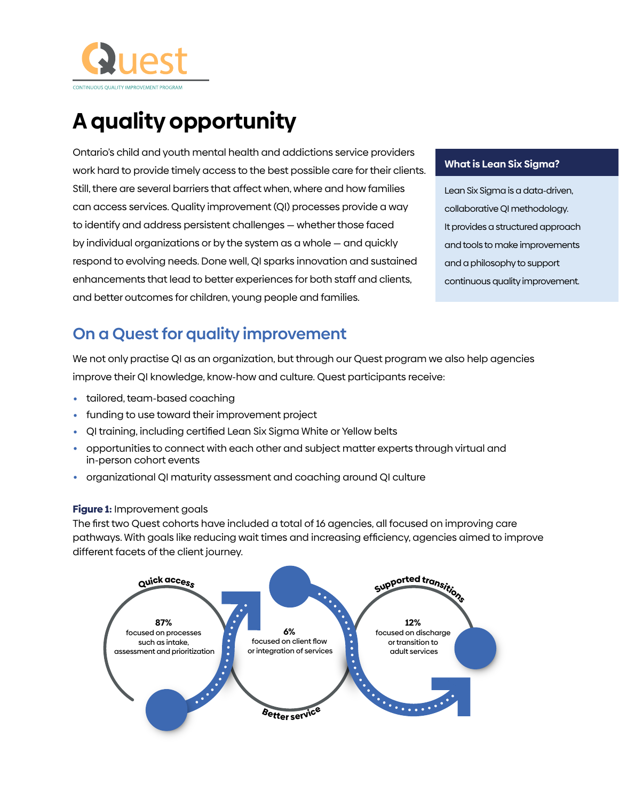

# **A quality opportunity**

Ontario's child and youth mental health and addictions service providers work hard to provide timely access to the best possible care for their clients. Still, there are several barriers that affect when, where and how families can access services. Quality improvement (QI) processes provide a way to identify and address persistent challenges — whether those faced by individual organizations or by the system as a whole — and quickly respond to evolving needs. Done well, QI sparks innovation and sustained enhancements that lead to better experiences for both staff and clients, and better outcomes for children, young people and families.

#### **What is Lean Six Sigma?**

Lean Six Sigma is a data-driven, collaborative QI methodology. It provides a structured approach and tools to make improvements and a philosophy to support continuous quality improvement.

### **On a Quest for quality improvement**

We not only practise QI as an organization, but through our Quest program we also help agencies improve their QI knowledge, know-how and culture. Quest participants receive:

- tailored, team-based coaching
- funding to use toward their improvement project
- QI training, including certified Lean Six Sigma White or Yellow belts
- opportunities to connect with each other and subject matter experts through virtual and in-person cohort events
- organizational QI maturity assessment and coaching around QI culture

#### **Figure 1:** Improvement goals

The first two Quest cohorts have included a total of 16 agencies, all focused on improving care pathways. With goals like reducing wait times and increasing efficiency, agencies aimed to improve different facets of the client journey.